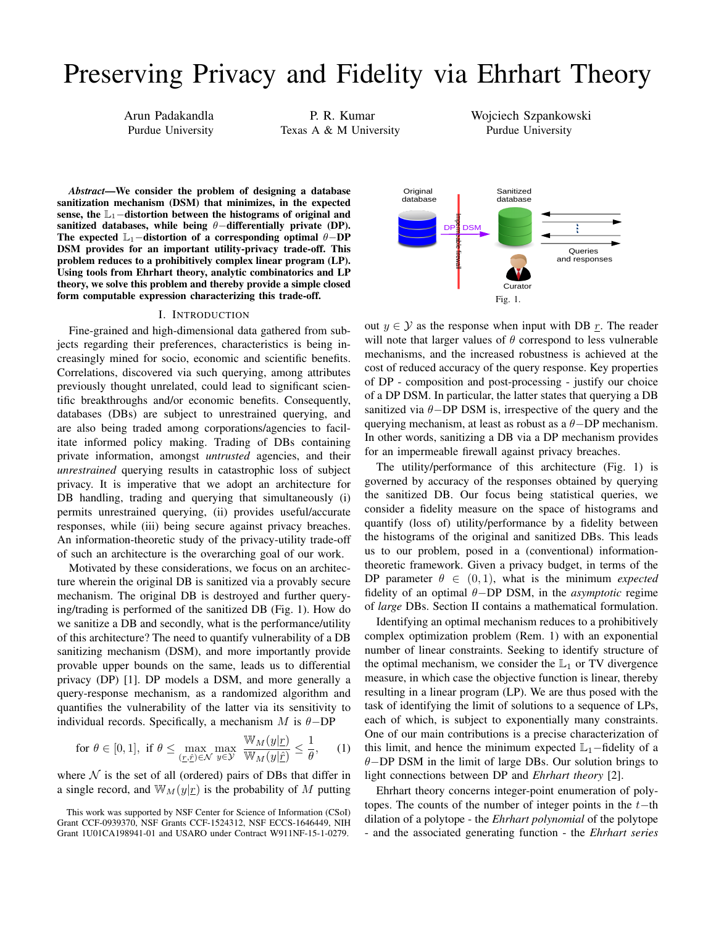# Preserving Privacy and Fidelity via Ehrhart Theory

Arun Padakandla Purdue University

P. R. Kumar Texas A & M University Wojciech Szpankowski Purdue University

*Abstract*—We consider the problem of designing a database sanitization mechanism (DSM) that minimizes, in the expected sense, the  $\mathbb{L}_1$ −distortion between the histograms of original and sanitized databases, while being θ−differentially private (DP). The expected  $\mathbb{L}_1$ -distortion of a corresponding optimal  $\theta$ -DP DSM provides for an important utility-privacy trade-off. This problem reduces to a prohibitively complex linear program (LP). Using tools from Ehrhart theory, analytic combinatorics and LP theory, we solve this problem and thereby provide a simple closed form computable expression characterizing this trade-off.

#### I. INTRODUCTION

Fine-grained and high-dimensional data gathered from subjects regarding their preferences, characteristics is being increasingly mined for socio, economic and scientific benefits. Correlations, discovered via such querying, among attributes previously thought unrelated, could lead to significant scientific breakthroughs and/or economic benefits. Consequently, databases (DBs) are subject to unrestrained querying, and are also being traded among corporations/agencies to facilitate informed policy making. Trading of DBs containing private information, amongst *untrusted* agencies, and their *unrestrained* querying results in catastrophic loss of subject privacy. It is imperative that we adopt an architecture for DB handling, trading and querying that simultaneously (i) permits unrestrained querying, (ii) provides useful/accurate responses, while (iii) being secure against privacy breaches. An information-theoretic study of the privacy-utility trade-off of such an architecture is the overarching goal of our work.

Motivated by these considerations, we focus on an architecture wherein the original DB is sanitized via a provably secure mechanism. The original DB is destroyed and further querying/trading is performed of the sanitized DB (Fig. 1). How do we sanitize a DB and secondly, what is the performance/utility of this architecture? The need to quantify vulnerability of a DB sanitizing mechanism (DSM), and more importantly provide provable upper bounds on the same, leads us to differential privacy (DP) [1]. DP models a DSM, and more generally a query-response mechanism, as a randomized algorithm and quantifies the vulnerability of the latter via its sensitivity to individual records. Specifically, a mechanism M is  $\theta$ -DP

$$
\text{for } \theta \in [0, 1], \text{ if } \theta \le \max_{(\underline{r}, \hat{\underline{r}}) \in \mathcal{N}} \max_{y \in \mathcal{Y}} \frac{\mathbb{W}_M(y|\underline{r})}{\mathbb{W}_M(y|\hat{\underline{r}})} \le \frac{1}{\theta}, \quad (1)
$$

where  $N$  is the set of all (ordered) pairs of DBs that differ in a single record, and  $\mathbb{W}_M(y|\underline{r})$  is the probability of M putting



out  $y \in Y$  as the response when input with DB r. The reader will note that larger values of  $\theta$  correspond to less vulnerable mechanisms, and the increased robustness is achieved at the cost of reduced accuracy of the query response. Key properties of DP - composition and post-processing - justify our choice of a DP DSM. In particular, the latter states that querying a DB sanitized via  $\theta$ −DP DSM is, irrespective of the query and the querying mechanism, at least as robust as a  $\theta$ -DP mechanism. In other words, sanitizing a DB via a DP mechanism provides for an impermeable firewall against privacy breaches.

The utility/performance of this architecture (Fig. 1) is governed by accuracy of the responses obtained by querying the sanitized DB. Our focus being statistical queries, we consider a fidelity measure on the space of histograms and quantify (loss of) utility/performance by a fidelity between the histograms of the original and sanitized DBs. This leads us to our problem, posed in a (conventional) informationtheoretic framework. Given a privacy budget, in terms of the DP parameter  $\theta \in (0, 1)$ , what is the minimum *expected* fidelity of an optimal θ−DP DSM, in the *asymptotic* regime of *large* DBs. Section II contains a mathematical formulation.

Identifying an optimal mechanism reduces to a prohibitively complex optimization problem (Rem. 1) with an exponential number of linear constraints. Seeking to identify structure of the optimal mechanism, we consider the  $\mathbb{L}_1$  or TV divergence measure, in which case the objective function is linear, thereby resulting in a linear program (LP). We are thus posed with the task of identifying the limit of solutions to a sequence of LPs, each of which, is subject to exponentially many constraints. One of our main contributions is a precise characterization of this limit, and hence the minimum expected  $\mathbb{L}_1$ –fidelity of a  $\theta$ −DP DSM in the limit of large DBs. Our solution brings to light connections between DP and *Ehrhart theory* [2].

Ehrhart theory concerns integer-point enumeration of polytopes. The counts of the number of integer points in the  $t$ −th dilation of a polytope - the *Ehrhart polynomial* of the polytope - and the associated generating function - the *Ehrhart series*

This work was supported by NSF Center for Science of Information (CSoI) Grant CCF-0939370, NSF Grants CCF-1524312, NSF ECCS-1646449, NIH Grant 1U01CA198941-01 and USARO under Contract W911NF-15-1-0279.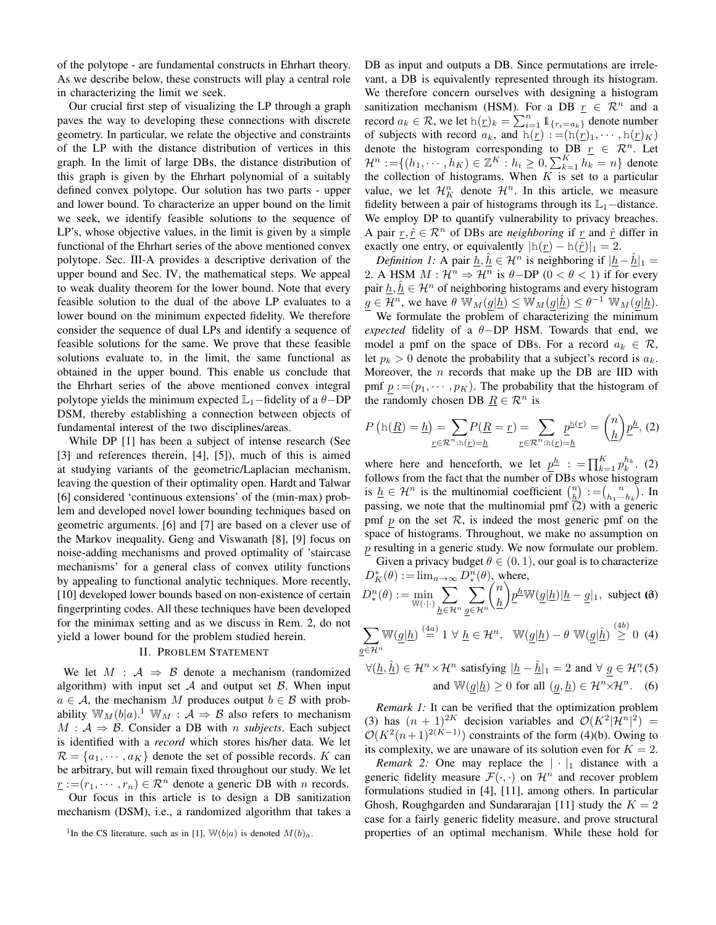of the polytope - are fundamental constructs in Ehrhart theory. As we describe below, these constructs will play a central role in characterizing the limit we seek.

Our crucial first step of visualizing the LP through a graph paves the way to developing these connections with discrete geometry. In particular, we relate the objective and constraints of the LP with the distance distribution of vertices in this graph. In the limit of large DBs, the distance distribution of this graph is given by the Ehrhart polynomial of a suitably defined convex polytope. Our solution has two parts - upper and lower bound. To characterize an upper bound on the limit we seek, we identify feasible solutions to the sequence of LP's, whose objective values, in the limit is given by a simple functional of the Ehrhart series of the above mentioned convex polytope. Sec. III-A provides a descriptive derivation of the upper bound and Sec. IV, the mathematical steps. We appeal to weak duality theorem for the lower bound. Note that every feasible solution to the dual of the above LP evaluates to a lower bound on the minimum expected fidelity. We therefore consider the sequence of dual LPs and identify a sequence of feasible solutions for the same. We prove that these feasible solutions evaluate to, in the limit, the same functional as obtained in the upper bound. This enable us conclude that the Ehrhart series of the above mentioned convex integral polytope yields the minimum expected  $\mathbb{L}_1$ –fidelity of a  $\theta$ –DP DSM, thereby establishing a connection between objects of fundamental interest of the two disciplines/areas.

While DP [1] has been a subject of intense research (See [3] and references therein, [4], [5]), much of this is aimed at studying variants of the geometric/Laplacian mechanism, leaving the question of their optimality open. Hardt and Talwar [6] considered 'continuous extensions' of the (min-max) problem and developed novel lower bounding techniques based on geometric arguments. [6] and [7] are based on a clever use of the Markov inequality. Geng and Viswanath [8], [9] focus on noise-adding mechanisms and proved optimality of 'staircase mechanisms' for a general class of convex utility functions by appealing to functional analytic techniques. More recently, [10] developed lower bounds based on non-existence of certain fingerprinting codes. All these techniques have been developed for the minimax setting and as we discuss in Rem. 2, do not yield a lower bound for the problem studied herein.

## II. PROBLEM STATEMENT

We let  $M : A \Rightarrow B$  denote a mechanism (randomized algorithm) with input set  $A$  and output set  $B$ . When input  $a \in \mathcal{A}$ , the mechanism M produces output  $b \in \mathcal{B}$  with probability  $\mathbb{W}_M(b|a)$ .<sup>1</sup>  $\mathbb{W}_M$  :  $\mathcal{A} \Rightarrow \mathcal{B}$  also refers to mechanism  $M : A \Rightarrow B$ . Consider a DB with *n subjects*. Each subject is identified with a *record* which stores his/her data. We let  $\mathcal{R} = \{a_1, \dots, a_K\}$  denote the set of possible records. K can be arbitrary, but will remain fixed throughout our study. We let  $r := (r_1, \dots, r_n) \in \mathbb{R}^n$  denote a generic DB with *n* records.

Our focus in this article is to design a DB sanitization mechanism (DSM), i.e., a randomized algorithm that takes a DB as input and outputs a DB. Since permutations are irrelevant, a DB is equivalently represented through its histogram. We therefore concern ourselves with designing a histogram sanitization mechanism (HSM). For a DB  $r \in \mathbb{R}^n$  and a record  $a_k \in \mathcal{R}$ , we let  $h(\underline{r})_k = \sum_{i=1}^n \mathbb{1}_{\{r_i = a_k\}}$  denote number of subjects with record  $a_k$ , and  $h(r) := (h(r)_1, \dots, h(r)_K)$ denote the histogram corresponding to DB  $r \in \mathbb{R}^n$ . Let  $\mathcal{H}^n := \{(h_1, \dots, h_K) \in \mathbb{Z}^K : h_i \geq 0, \sum_{k=1}^K h_k = n\}$  denote the collection of histograms. When  $K$  is set to a particular value, we let  $\mathcal{H}_K^n$  denote  $\mathcal{H}^n$ . In this article, we measure fidelity between a pair of histograms through its  $\mathbb{L}_1$  –distance. We employ DP to quantify vulnerability to privacy breaches. A pair  $r, \hat{r} \in \mathcal{R}^n$  of DBs are *neighboring* if r and  $\hat{r}$  differ in exactly one entry, or equivalently  $|h(r) - h(\hat{r})|_1 = 2$ .

*Definition 1:* A pair  $h, h \in \mathcal{H}^n$  is neighboring if  $|h-h|_1 =$ 2. A HSM  $M : \mathcal{H}^n \Rightarrow \mathcal{H}^n$  is  $\theta$ -DP (0 <  $\theta$  < 1) if for every pair  $h, \hat{h} \in \mathcal{H}^n$  of neighboring histograms and every histogram  $g \in \overline{\mathcal{H}^n}$ , we have  $\theta \mathbb{W}_M(g|\underline{h}) \le \mathbb{W}_M(g|\underline{\hat{h}}) \le \theta^{-1} \mathbb{W}_M(g|\underline{h}).$ We formulate the problem of characterizing the minimum *expected* fidelity of a θ−DP HSM. Towards that end, we model a pmf on the space of DBs. For a record  $a_k \in \mathcal{R}$ , let  $p_k > 0$  denote the probability that a subject's record is  $a_k$ . Moreover, the  $n$  records that make up the DB are IID with pmf  $p := (p_1, \dots, p_K)$ . The probability that the histogram of the randomly chosen DB  $\underline{R} \in \mathcal{R}^n$  is

$$
P\left(\mathbf{h}(\underline{R})=\underline{h}\right) = \sum_{\underline{r}\in\mathcal{R}^n:\mathbf{h}(\underline{r})=\underline{h}} P(\underline{R}=\underline{r}) = \sum_{\underline{r}\in\mathcal{R}^n:\mathbf{h}(\underline{r})=\underline{h}} \underline{p}^{\underline{\mathbf{h}}(\underline{r})} = \binom{n}{\underline{h}} \underline{p}^{\underline{h}},
$$
(2)

where here and henceforth, we let  $\underline{p}^h$  :  $= \prod_{k=1}^K p_k^{h_k}$ . (2) follows from the fact that the number of DBs whose histogram is  $\underline{h} \in \mathcal{H}^n$  is the multinomial coefficient  $\binom{n}{\underline{h}} := \binom{n}{h_1 \cdots h_k}$ . In passing, we note that the multinomial pmf  $\bar{c}$ ) with a generic pmf p on the set  $\mathcal{R}$ , is indeed the most generic pmf on the space of histograms. Throughout, we make no assumption on  $p$  resulting in a generic study. We now formulate our problem. Given a privacy budget  $\theta \in (0, 1)$ , our goal is to characterize

$$
D_K^*(\theta) := \lim_{n \to \infty} D_*^n(\theta), \text{ where,}
$$
  

$$
D_*^n(\theta) := \min_{\mathbb{W}(\cdot | \cdot)} \sum_{\underline{h} \in \mathcal{H}^n} \sum_{\underline{g} \in \mathcal{H}^n} {n \choose \underline{h}} \underline{p}^{\underline{h}} \mathbb{W}(\underline{g}|\underline{h}) |\underline{h} - \underline{g}|_1, \text{ subject (6)}
$$

$$
\sum_{\underline{g}\in\mathcal{H}^n} \mathbb{W}(\underline{g}|\underline{h}) \stackrel{(4a)}{=} 1 \ \forall \ \underline{h}\in\mathcal{H}^n, \ \ \mathbb{W}(\underline{g}|\underline{h}) - \theta \ \mathbb{W}(\underline{g}|\hat{\underline{h}}) \stackrel{(4b)}{\geq} 0 \tag{4}
$$

$$
\forall (\underline{h}, \hat{\underline{h}}) \in \mathcal{H}^n \times \mathcal{H}^n \text{ satisfying } |\underline{h} - \hat{\underline{h}}|_1 = 2 \text{ and } \forall \underline{g} \in \mathcal{H}^n, (5)
$$
  
and 
$$
\mathbb{W}(g|\underline{h}) \ge 0 \text{ for all } (g, \underline{h}) \in \mathcal{H}^n \times \mathcal{H}^n. \quad (6)
$$

*Remark 1:* It can be verified that the optimization problem (3) has  $(n + 1)^{2K}$  decision variables and  $\mathcal{O}(K^2|\mathcal{H}^n|^2) =$  $\mathcal{O}(K^2(n+1)^{2(K-1)})$  constraints of the form (4)(b). Owing to its complexity, we are unaware of its solution even for  $K = 2$ .

*Remark 2:* One may replace the  $|\cdot|_1$  distance with a generic fidelity measure  $\mathcal{F}(\cdot, \cdot)$  on  $\mathcal{H}^n$  and recover problem formulations studied in [4], [11], among others. In particular Ghosh, Roughgarden and Sundararajan [11] study the  $K = 2$ case for a fairly generic fidelity measure, and prove structural properties of an optimal mechanism. While these hold for

<sup>&</sup>lt;sup>1</sup>In the CS literature, such as in [1],  $\mathbb{W}(b|a)$  is denoted  $M(b)a$ .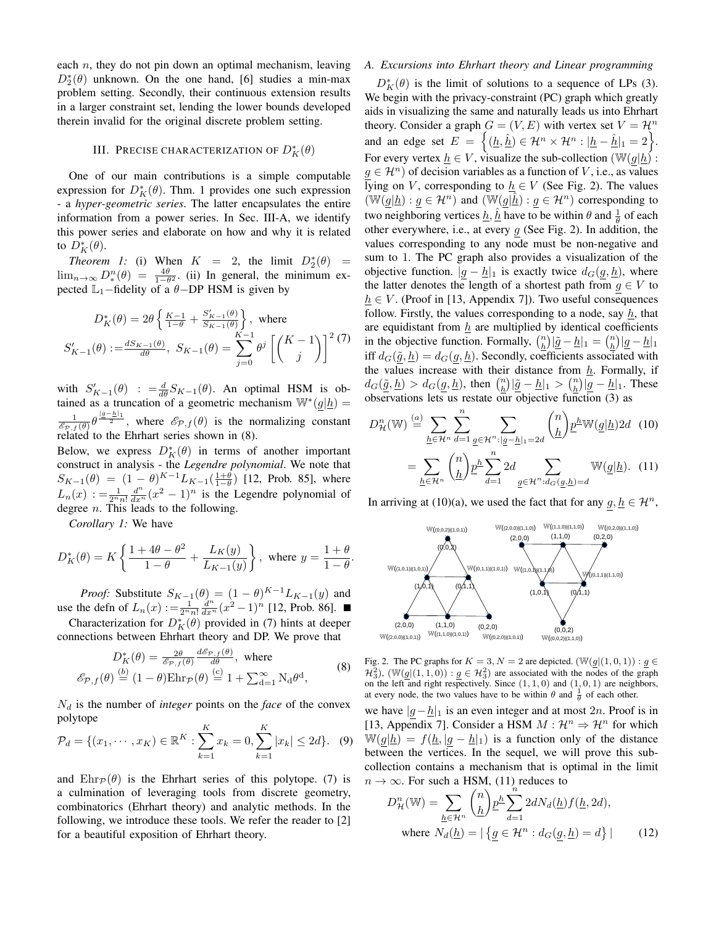each  $n$ , they do not pin down an optimal mechanism, leaving  $D_2^*(\theta)$  unknown. On the one hand, [6] studies a min-max problem setting. Secondly, their continuous extension results in a larger constraint set, lending the lower bounds developed therein invalid for the original discrete problem setting.

# III. Precise characterization of  $D_K^*(\theta)$

One of our main contributions is a simple computable expression for  $D_K^*(\theta)$ . Thm. 1 provides one such expression - a *hyper-geometric series*. The latter encapsulates the entire information from a power series. In Sec. III-A, we identify this power series and elaborate on how and why it is related to  $D_K^*(\theta)$ .

*Theorem 1:* (i) When  $K = 2$ , the limit  $D_2^*(\theta) =$  $\lim_{n\to\infty} D^n_*(\theta) = \frac{4\theta}{1-\theta^2}$ . (ii) In general, the minimum expected  $\mathbb{L}_1$ –fidelity of a  $\theta$ –DP HSM is given by

$$
D_K^*(\theta) = 2\theta \left\{ \frac{K-1}{1-\theta} + \frac{S'_{K-1}(\theta)}{S_{K-1}(\theta)} \right\}, \text{ where}
$$
  

$$
S'_{K-1}(\theta) := \frac{dS_{K-1}(\theta)}{d\theta}, \ S_{K-1}(\theta) = \sum_{j=0}^{K-1} \theta^j \left[ \binom{K-1}{j} \right]^2
$$
(7)

with  $S'_{K-1}(\theta)$  :  $=\frac{d}{d\theta}S_{K-1}(\theta)$ . An optimal HSM is obtained as a truncation of a geometric mechanism  $\mathbb{W}^*(g|\underline{h}) =$  $\frac{1}{\mathscr{E}_{\mathcal{P},f}(\theta)}\theta^{\frac{|g-h|_1}{2}}$ , where  $\mathscr{E}_{\mathcal{P},f}(\theta)$  is the normalizing constant related to the Ehrhart series shown in (8).

Below, we express  $D_K^*(\theta)$  in terms of another important construct in analysis - the *Legendre polynomial*. We note that  $S_{K-1}(\theta) = (1 - \theta)^{K-1} L_{K-1}(\frac{1+\theta}{1-\theta})$  [12, Prob. 85], where  $L_n(x) := \frac{1}{2^n n!} \frac{d^n}{dx^n} (x^2 - 1)^n$  is the Legendre polynomial of degree  $n$ . This leads to the following.

*Corollary 1:* We have

$$
D_K^*(\theta) = K \left\{ \frac{1 + 4\theta - \theta^2}{1 - \theta} + \frac{L_K(y)}{L_{K-1}(y)} \right\}, \text{ where } y = \frac{1 + \theta}{1 - \theta}.
$$

*Proof:* Substitute  $S_{K-1}(\theta) = (1 - \theta)^{K-1} L_{K-1}(y)$  and use the defn of  $L_n(x) := \frac{1}{2^n n!} \frac{d^n}{dx^n} (x^2 - 1)^n$  [12, Prob. 86].

Characterization for  $D_K^*(\theta)$  provided in (7) hints at deeper connections between Ehrhart theory and DP. We prove that

$$
D_K^*(\theta) = \frac{2\theta}{\mathcal{E}_{\mathcal{P},f}(\theta)} \frac{d\mathcal{E}_{\mathcal{P},f}(\theta)}{d\theta}, \text{ where}
$$
  

$$
\mathcal{E}_{\mathcal{P},f}(\theta) \stackrel{(b)}{=} (1-\theta)\text{Ehr}_{\mathcal{P}}(\theta) \stackrel{(c)}{=} 1 + \sum_{d=1}^{\infty} N_d \theta^d,
$$
 (8)

 $N_d$  is the number of *integer* points on the *face* of the convex polytope

$$
\mathcal{P}_d = \{(x_1, \cdots, x_K) \in \mathbb{R}^K : \sum_{k=1}^K x_k = 0, \sum_{k=1}^K |x_k| \le 2d\}. \tag{9}
$$

and  $Ehr_{\mathcal{P}}(\theta)$  is the Ehrhart series of this polytope. (7) is a culmination of leveraging tools from discrete geometry, combinatorics (Ehrhart theory) and analytic methods. In the following, we introduce these tools. We refer the reader to [2] for a beautiful exposition of Ehrhart theory.

### *A. Excursions into Ehrhart theory and Linear programming*

 $D_K^*(\theta)$  is the limit of solutions to a sequence of LPs (3). We begin with the privacy-constraint (PC) graph which greatly aids in visualizing the same and naturally leads us into Ehrhart theory. Consider a graph  $G = (V, E)$  with vertex set  $V = \mathcal{H}^n$ and an edge set  $E = \left\{ (\underline{h}, \hat{\underline{h}}) \in \mathcal{H}^n \times \mathcal{H}^n : |\underline{h} - \hat{\underline{h}}|_1 = 2 \right\}.$ For every vertex  $\underline{h} \in V$ , visualize the sub-collection  $(\mathbb{W}(g|\underline{h}) :$  $g \in \mathcal{H}^n$ ) of decision variables as a function of V, i.e., as values lying on V, corresponding to  $h \in V$  (See Fig. 2). The values  $(\mathbb{W}(g|\underline{h}) : g \in \mathcal{H}^n)$  and  $(\mathbb{W}(g|\underline{h}) : g \in \mathcal{H}^n)$  corresponding to two neighboring vertices  $\underline{h}$ ,  $\underline{\hat{h}}$  have to be within  $\theta$  and  $\frac{1}{\theta}$  of each other everywhere, i.e., at every  $g$  (See Fig. 2). In addition, the values corresponding to any node must be non-negative and sum to 1. The PC graph also provides a visualization of the objective function.  $|g - h|_1$  is exactly twice  $d_G(g, h)$ , where the latter denotes the length of a shortest path from  $g \in V$  to  $h \in V$ . (Proof in [13, Appendix 7]). Two useful consequences follow. Firstly, the values corresponding to a node, say  $h$ , that are equidistant from  $h$  are multiplied by identical coefficients in the objective function. Formally,  $\binom{n}{h}$   $|\underline{\tilde{g}} - \underline{h}|_1 = \binom{n}{h}$   $|\underline{g} - \underline{h}|_1$ iff  $d_G(\tilde{g}, \underline{h}) = d_G(g, \underline{h})$ . Secondly, coefficients associated with the values increase with their distance from  $\underline{h}$ . Formally, if  $d_G(\underline{\tilde{g}}, \underline{h}) > d_G(\underline{g}, \underline{h})$ , then  $\binom{n}{h} |\underline{\tilde{g}} - \underline{h}|_1 > \binom{n}{h} |\underline{g} - \underline{h}|_1$ . These observations lets us restate our objective function (3) as

$$
D_{\mathcal{H}}^{n}(\mathbb{W}) \stackrel{(a)}{=} \sum_{\underline{h} \in \mathcal{H}^{n}} \sum_{d=1}^{n} \sum_{\underline{g} \in \mathcal{H}^{n}: |\underline{g} - \underline{h}|_{1} = 2d} {n \choose \underline{h}} \underline{p}^{\underline{h}} \mathbb{W}(\underline{g}|\underline{h}) 2d \quad (10)
$$

$$
= \sum_{\underline{h} \in \mathcal{H}^{n}} {n \choose \underline{h}} \underline{p}^{\underline{h}} \sum_{d=1}^{n} 2d \sum_{\underline{g} \in \mathcal{H}^{n}: d_{G}(\underline{g}, \underline{h}) = d} \mathbb{W}(\underline{g}|\underline{h}). \quad (11)
$$

In arriving at (10)(a), we used the fact that for any  $g, h \in \mathcal{H}^n$ ,



Fig. 2. The PC graphs for  $K = 3, N = 2$  are depicted.  $(\mathbb{W}(g|(1, 0, 1)) : g \in$  $\mathcal{H}_3^2$ ),  $(\mathbb{W}(\underline{g} | (1,1,0)) : \underline{g} \in \mathcal{H}_3^2)$  are associated with the nodes of the graph on the left and right respectively. Since  $(1, 1, 0)$  and  $(1, 0, 1)$  are neighbors, at every node, the two values have to be within  $\theta$  and  $\frac{1}{\theta}$  of each other.

we have  $|g-h|_1$  is an even integer and at most 2n. Proof is in [13, Appendix 7]. Consider a HSM  $M : \mathcal{H}^n \Rightarrow \mathcal{H}^n$  for which  $\mathbb{W}(g|\underline{h}) = f(\underline{h}, |g - \underline{h}|_1)$  is a function only of the distance between the vertices. In the sequel, we will prove this subcollection contains a mechanism that is optimal in the limit  $n \to \infty$ . For such a HSM, (11) reduces to

$$
D_{\mathcal{H}}^n(\mathbb{W}) = \sum_{\underline{h}\in\mathcal{H}^n} \binom{n}{\underline{h}} \underline{p}^{\underline{h}} \sum_{d=1}^n 2dN_d(\underline{h}) f(\underline{h}, 2d),
$$
  
where  $N_d(\underline{h}) = |\{ \underline{g} \in \mathcal{H}^n : d_G(\underline{g}, \underline{h}) = d \}|$  (12)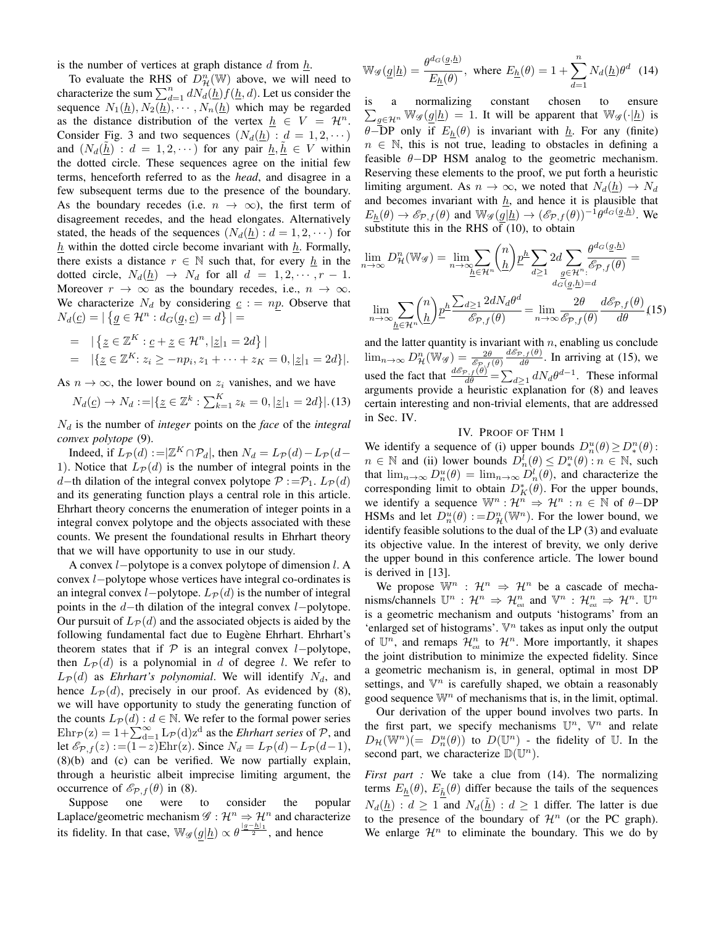is the number of vertices at graph distance  $d$  from  $\underline{h}$ .

To evaluate the RHS of  $D_{\mathcal{H}}^n(\mathbb{W})$  above, we will need to characterize the sum  $\sum_{d=1}^{n} dN_d(\underline{h}) f(\underline{h}, d)$ . Let us consider the sequence  $N_1(\underline{h}), N_2(\underline{h}), \cdots, N_n(\underline{h})$  which may be regarded as the distance distribution of the vertex  $h \in V = \mathcal{H}^n$ . Consider Fig. 3 and two sequences  $(N_d(\underline{h}) : d = 1, 2, \dots)$ and  $(N_d(\underline{h}) : d = 1, 2, \dots)$  for any pair  $\underline{h}, \underline{h} \in V$  within the dotted circle. These sequences agree on the initial few terms, henceforth referred to as the *head*, and disagree in a few subsequent terms due to the presence of the boundary. As the boundary recedes (i.e.  $n \to \infty$ ), the first term of disagreement recedes, and the head elongates. Alternatively stated, the heads of the sequences  $(N_d(h) : d = 1, 2, \dots)$  for  $h$  within the dotted circle become invariant with  $h$ . Formally, there exists a distance  $r \in \mathbb{N}$  such that, for every  $h$  in the dotted circle,  $N_d(\underline{h}) \rightarrow N_d$  for all  $d = 1, 2, \cdots, r - 1$ . Moreover  $r \to \infty$  as the boundary recedes, i.e.,  $n \to \infty$ . We characterize  $N_d$  by considering  $c := np$ . Observe that  $N_d(\underline{c}) = |\{ g \in \mathcal{H}^n : d_G(g, \underline{c}) = d \}| =$ 

= 
$$
|\{z \in \mathbb{Z}^K : \underline{c} + \underline{z} \in \mathcal{H}^n, |\underline{z}|_1 = 2d\}|
$$
  
=  $|\{\underline{z} \in \mathbb{Z}^K : z_i \ge -np_i, z_1 + \cdots + z_K = 0, |\underline{z}|_1 = 2d\}|.$ 

As  $n \to \infty$ , the lower bound on  $z_i$  vanishes, and we have

$$
N_d(\underline{c}) \to N_d := |\{\underline{z} \in \mathbb{Z}^k : \sum_{k=1}^K z_k = 0, |\underline{z}|_1 = 2d\}|.(13)
$$

 $N_d$  is the number of *integer* points on the *face* of the *integral convex polytope* (9).

Indeed, if  $L_{\mathcal{P}}(d) := |\mathbb{Z}^K \cap \mathcal{P}_d|$ , then  $N_d = L_{\mathcal{P}}(d) - L_{\mathcal{P}}(d -$ 1). Notice that  $L_{\mathcal{P}}(d)$  is the number of integral points in the d−th dilation of the integral convex polytope  $P := \mathcal{P}_1$ .  $L_{\mathcal{P}}(d)$ and its generating function plays a central role in this article. Ehrhart theory concerns the enumeration of integer points in a integral convex polytope and the objects associated with these counts. We present the foundational results in Ehrhart theory that we will have opportunity to use in our study.

A convex l−polytope is a convex polytope of dimension l. A convex l−polytope whose vertices have integral co-ordinates is an integral convex l−polytope.  $L_{\mathcal{P}}(d)$  is the number of integral points in the d−th dilation of the integral convex l−polytope. Our pursuit of  $L_{\mathcal{P}}(d)$  and the associated objects is aided by the following fundamental fact due to Eugène Ehrhart. Ehrhart's theorem states that if  $\mathcal P$  is an integral convex *l*−polytope, then  $L_{\mathcal{P}}(d)$  is a polynomial in d of degree l. We refer to  $L_{\mathcal{P}}(d)$  as *Ehrhart's polynomial*. We will identify  $N_d$ , and hence  $L_{\mathcal{P}}(d)$ , precisely in our proof. As evidenced by (8), we will have opportunity to study the generating function of the counts  $L_{\mathcal{P}}(d)$ :  $d \in \mathbb{N}$ . We refer to the formal power series  $\text{Ehr}_{\mathcal{P}}(z) = 1 + \sum_{d=1}^{\infty} L_{\mathcal{P}}(d) z^d$  as the *Ehrhart series* of  $\mathcal{P}$ , and let  $\mathscr{E}_{\mathcal{P},f}(z) := (1-z)\text{Ehr}(z)$ . Since  $N_d = L_{\mathcal{P}}(d) - L_{\mathcal{P}}(d-1)$ , (8)(b) and (c) can be verified. We now partially explain, through a heuristic albeit imprecise limiting argument, the occurrence of  $\mathcal{E}_{\mathcal{P},f}(\theta)$  in (8).

Suppose one were to consider the popular Laplace/geometric mechanism  $\mathscr{G} : \mathcal{H}^n \Rightarrow \mathcal{H}^n$  and characterize its fidelity. In that case,  $\mathbb{W}_{\mathscr{G}}(g|\underline{h}) \propto \theta^{\frac{|g-h|_1}{2}}$ , and hence

$$
\mathbb{W}_{\mathscr{G}}(\underline{g}|\underline{h}) = \frac{\theta^{d_G}(\underline{g}, \underline{h})}{E_{\underline{h}}(\theta)}, \text{ where } E_{\underline{h}}(\theta) = 1 + \sum_{d=1}^{n} N_d(\underline{h}) \theta^d \tag{14}
$$

is a normalizing constant chosen to ensure  $\sum_{g \in \mathcal{H}^n} \mathbb{W}_{\mathscr{G}}(\underline{g}|\underline{h}) = 1$ . It will be apparent that  $\mathbb{W}_{\mathscr{G}}(\cdot|\underline{h})$  is  $\theta$ –DP only if  $E_h(\theta)$  is invariant with  $h$ . For any (finite)  $n \in \mathbb{N}$ , this is not true, leading to obstacles in defining a feasible  $\theta$ −DP HSM analog to the geometric mechanism. Reserving these elements to the proof, we put forth a heuristic limiting argument. As  $n \to \infty$ , we noted that  $N_d(\underline{h}) \to N_d$ and becomes invariant with  $h$ , and hence it is plausible that  $E_{h}(\theta) \to \mathscr{E}_{\mathcal{P},f}(\theta)$  and  $\mathbb{W}_{\mathscr{G}}(g|\underline{h}) \to (\mathscr{E}_{\mathcal{P},f}(\theta))^{-1} \theta^{d_G(\underline{g},\underline{h})}$ . We substitute this in the RHS of (10), to obtain

$$
\lim_{n \to \infty} D_{\mathcal{H}}^{n}(\mathbb{W}_{\mathcal{G}}) = \lim_{n \to \infty} \sum_{\underline{h} \in \mathcal{H}^{n}} {n \choose \underline{h}} \underline{p}^{\underline{h}} \sum_{d \ge 1} 2d \sum_{\underline{g} \in \mathcal{H}^{n}} \frac{\theta^{d_{G}(\underline{g}, \underline{h})}}{\xi_{\mathcal{P}, f}(\theta)} =
$$
\n
$$
\lim_{n \to \infty} \sum_{\underline{h} \in \mathcal{H}^{n}} {n \choose \underline{h}} \underline{p}^{\underline{h}} \frac{\sum_{d \ge 1} 2dN_{d} \theta^{d}}{\xi_{\mathcal{P}, f}(\theta)} = \lim_{n \to \infty} \frac{2\theta}{\xi_{\mathcal{P}, f}(\theta)} \frac{d\xi_{\mathcal{P}, f}(\theta)}{d\theta} (15)
$$

and the latter quantity is invariant with  $n$ , enabling us conclude  $\lim_{n\to\infty} D_{\mathcal{H}}^n(\mathbb{W}_{\mathscr{G}}) = \frac{2\theta}{\mathscr{E}_{\mathcal{P},f}(\theta)}$  $\frac{d\mathcal{E}_{\mathcal{P},f}(\theta)}{d\theta}$ . In arriving at (15), we used the fact that  $\frac{d\mathcal{E}_{P,f}(\theta)}{d\theta} = \sum_{d\geq 1} dN_d \theta^{d-1}$ . These informal arguments provide a heuristic explanation for  $(8)$  and leaves certain interesting and non-trivial elements, that are addressed in Sec. IV.

## IV. PROOF OF THM 1

We identify a sequence of (i) upper bounds  $D_n^u(\theta) \ge D_*^n(\theta)$ :  $n \in \mathbb{N}$  and (ii) lower bounds  $D_n^{\overline{l}}(\theta) \leq D_*^n(\theta)$  :  $n \in \mathbb{N}$ , such that  $\lim_{n\to\infty} D_n^u(\theta) = \lim_{n\to\infty} D_n^l(\theta)$ , and characterize the corresponding limit to obtain  $D_K^*(\theta)$ . For the upper bounds, we identify a sequence  $\mathbb{W}^n : \mathcal{H}^n \Rightarrow \mathcal{H}^n : n \in \mathbb{N}$  of  $\theta$ -DP HSMs and let  $D_n^u(\theta) := D_\mathcal{H}^n(\mathbb{W}^n)$ . For the lower bound, we identify feasible solutions to the dual of the LP (3) and evaluate its objective value. In the interest of brevity, we only derive the upper bound in this conference article. The lower bound is derived in [13].

We propose  $\mathbb{W}^n$  :  $\mathcal{H}^n \Rightarrow \mathcal{H}^n$  be a cascade of mechanisms/channels  $\mathbb{U}^n : \mathcal{H}^n \Rightarrow \mathcal{H}_{ext}^n$  and  $\mathbb{V}^n : \mathcal{H}_{ext}^n \Rightarrow \mathcal{H}^n$ .  $\mathbb{U}^n$ is a geometric mechanism and outputs 'histograms' from an 'enlarged set of histograms'.  $\nabla^n$  takes as input only the output of  $\mathbb{U}^n$ , and remaps  $\mathcal{H}_{\text{ext}}^n$  to  $\mathcal{H}^n$ . More importantly, it shapes the joint distribution to minimize the expected fidelity. Since a geometric mechanism is, in general, optimal in most DP settings, and  $\mathbb{V}^n$  is carefully shaped, we obtain a reasonably good sequence  $\mathbb{W}^n$  of mechanisms that is, in the limit, optimal.

Our derivation of the upper bound involves two parts. In the first part, we specify mechanisms  $\mathbb{U}^n$ ,  $\mathbb{V}^n$  and relate  $D_{\mathcal{H}}(\mathbb{W}^n)(=D_n^u(\theta))$  to  $D(\mathbb{U}^n)$  - the fidelity of  $\mathbb{U}$ . In the second part, we characterize  $\mathbb{D}(\mathbb{U}^n)$ .

*First part :* We take a clue from (14). The normalizing terms  $E_h(\theta)$ ,  $E_{\tilde{h}}(\theta)$  differ because the tails of the sequences  $N_d(h)$ :  $d \geq 1$  and  $N_d(h)$ :  $d \geq 1$  differ. The latter is due to the presence of the boundary of  $\mathcal{H}^n$  (or the PC graph). We enlarge  $\mathcal{H}^n$  to eliminate the boundary. This we do by